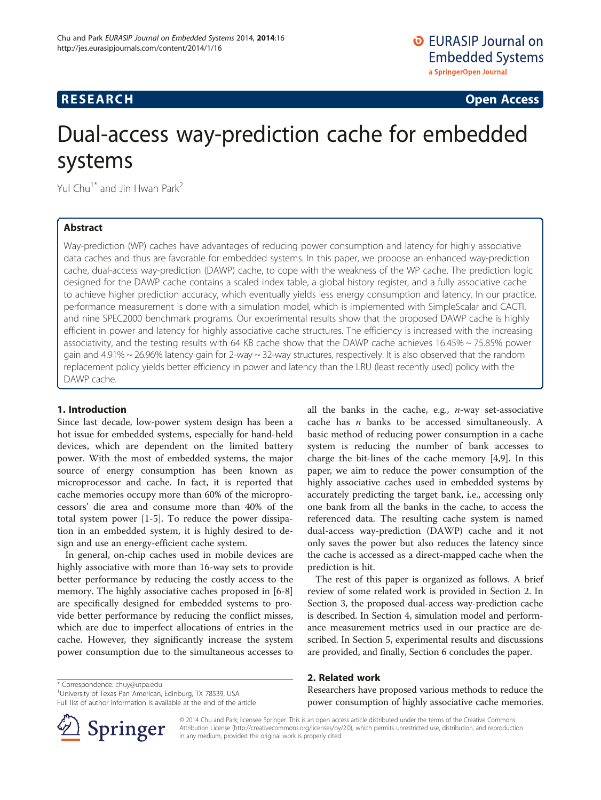## <span id="page-0-0"></span>**RESEARCH RESEARCH CONSUMING ACCESS**

# Dual-access way-prediction cache for embedded systems

Yul Chu<sup>1\*</sup> and Jin Hwan Park<sup>2</sup>

## Abstract

Way-prediction (WP) caches have advantages of reducing power consumption and latency for highly associative data caches and thus are favorable for embedded systems. In this paper, we propose an enhanced way-prediction cache, dual-access way-prediction (DAWP) cache, to cope with the weakness of the WP cache. The prediction logic designed for the DAWP cache contains a scaled index table, a global history register, and a fully associative cache to achieve higher prediction accuracy, which eventually yields less energy consumption and latency. In our practice, performance measurement is done with a simulation model, which is implemented with SimpleScalar and CACTI, and nine SPEC2000 benchmark programs. Our experimental results show that the proposed DAWP cache is highly efficient in power and latency for highly associative cache structures. The efficiency is increased with the increasing associativity, and the testing results with 64 KB cache show that the DAWP cache achieves 16.45% ~ 75.85% power gain and 4.91% ~ 26.96% latency gain for 2-way ~ 32-way structures, respectively. It is also observed that the random replacement policy yields better efficiency in power and latency than the LRU (least recently used) policy with the DAWP cache.

## 1. Introduction

Since last decade, low-power system design has been a hot issue for embedded systems, especially for hand-held devices, which are dependent on the limited battery power. With the most of embedded systems, the major source of energy consumption has been known as microprocessor and cache. In fact, it is reported that cache memories occupy more than 60% of the microprocessors' die area and consume more than 40% of the total system power [\[1](#page-7-0)-[5\]](#page-7-0). To reduce the power dissipation in an embedded system, it is highly desired to design and use an energy-efficient cache system.

In general, on-chip caches used in mobile devices are highly associative with more than 16-way sets to provide better performance by reducing the costly access to the memory. The highly associative caches proposed in [[6-8](#page-7-0)] are specifically designed for embedded systems to provide better performance by reducing the conflict misses, which are due to imperfect allocations of entries in the cache. However, they significantly increase the system power consumption due to the simultaneous accesses to

\* Correspondence: [chuy@utpa.edu](mailto:chuy@utpa.edu) <sup>1</sup>

University of Texas Pan American, Edinburg, TX 78539, USA Full list of author information is available at the end of the article

The rest of this paper is organized as follows. A brief review of some related work is provided in Section 2. In [Section 3](#page-1-0), the proposed dual-access way-prediction cache is described. In [Section 4](#page-3-0), simulation model and performance measurement metrics used in our practice are described. In [Section 5](#page-4-0), experimental results and discussions are provided, and finally, [Section 6](#page-7-0) concludes the paper.

## 2. Related work

Researchers have proposed various methods to reduce the power consumption of highly associative cache memories.



© 2014 Chu and Park; licensee Springer. This is an open access article distributed under the terms of the Creative Commons Attribution License [\(http://creativecommons.org/licenses/by/2.0\)](http://creativecommons.org/licenses/by/2.0), which permits unrestricted use, distribution, and reproduction in any medium, provided the original work is properly cited.

all the banks in the cache, e.g.,  $n$ -way set-associative cache has  $n$  banks to be accessed simultaneously. A basic method of reducing power consumption in a cache system is reducing the number of bank accesses to charge the bit-lines of the cache memory [\[4,9\]](#page-7-0). In this paper, we aim to reduce the power consumption of the highly associative caches used in embedded systems by accurately predicting the target bank, i.e., accessing only one bank from all the banks in the cache, to access the referenced data. The resulting cache system is named dual-access way-prediction (DAWP) cache and it not only saves the power but also reduces the latency since the cache is accessed as a direct-mapped cache when the prediction is hit.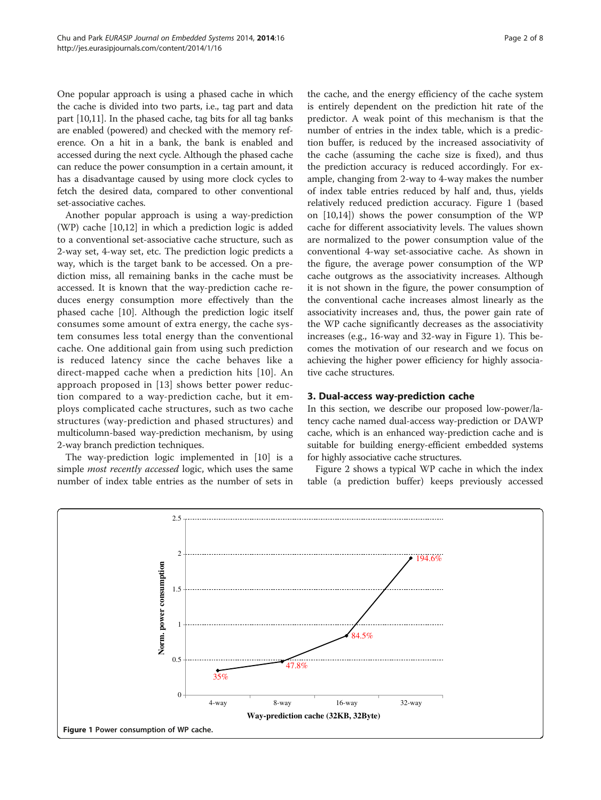<span id="page-1-0"></span>One popular approach is using a phased cache in which the cache is divided into two parts, i.e., tag part and data part [[10,11](#page-7-0)]. In the phased cache, tag bits for all tag banks are enabled (powered) and checked with the memory reference. On a hit in a bank, the bank is enabled and accessed during the next cycle. Although the phased cache can reduce the power consumption in a certain amount, it has a disadvantage caused by using more clock cycles to fetch the desired data, compared to other conventional set-associative caches.

Another popular approach is using a way-prediction (WP) cache [[10,12\]](#page-7-0) in which a prediction logic is added to a conventional set-associative cache structure, such as 2-way set, 4-way set, etc. The prediction logic predicts a way, which is the target bank to be accessed. On a prediction miss, all remaining banks in the cache must be accessed. It is known that the way-prediction cache reduces energy consumption more effectively than the phased cache [\[10](#page-7-0)]. Although the prediction logic itself consumes some amount of extra energy, the cache system consumes less total energy than the conventional cache. One additional gain from using such prediction is reduced latency since the cache behaves like a direct-mapped cache when a prediction hits [[10](#page-7-0)]. An approach proposed in [[13](#page-7-0)] shows better power reduction compared to a way-prediction cache, but it employs complicated cache structures, such as two cache structures (way-prediction and phased structures) and multicolumn-based way-prediction mechanism, by using 2-way branch prediction techniques.

The way-prediction logic implemented in [\[10\]](#page-7-0) is a simple *most recently accessed* logic, which uses the same number of index table entries as the number of sets in

the cache, and the energy efficiency of the cache system is entirely dependent on the prediction hit rate of the predictor. A weak point of this mechanism is that the number of entries in the index table, which is a prediction buffer, is reduced by the increased associativity of the cache (assuming the cache size is fixed), and thus the prediction accuracy is reduced accordingly. For example, changing from 2-way to 4-way makes the number of index table entries reduced by half and, thus, yields relatively reduced prediction accuracy. Figure 1 (based on [\[10,14](#page-7-0)]) shows the power consumption of the WP cache for different associativity levels. The values shown are normalized to the power consumption value of the conventional 4-way set-associative cache. As shown in the figure, the average power consumption of the WP cache outgrows as the associativity increases. Although it is not shown in the figure, the power consumption of the conventional cache increases almost linearly as the associativity increases and, thus, the power gain rate of the WP cache significantly decreases as the associativity increases (e.g., 16-way and 32-way in Figure 1). This becomes the motivation of our research and we focus on achieving the higher power efficiency for highly associative cache structures.

### 3. Dual-access way-prediction cache

In this section, we describe our proposed low-power/latency cache named dual-access way-prediction or DAWP cache, which is an enhanced way-prediction cache and is suitable for building energy-efficient embedded systems for highly associative cache structures.

Figure [2](#page-2-0) shows a typical WP cache in which the index table (a prediction buffer) keeps previously accessed

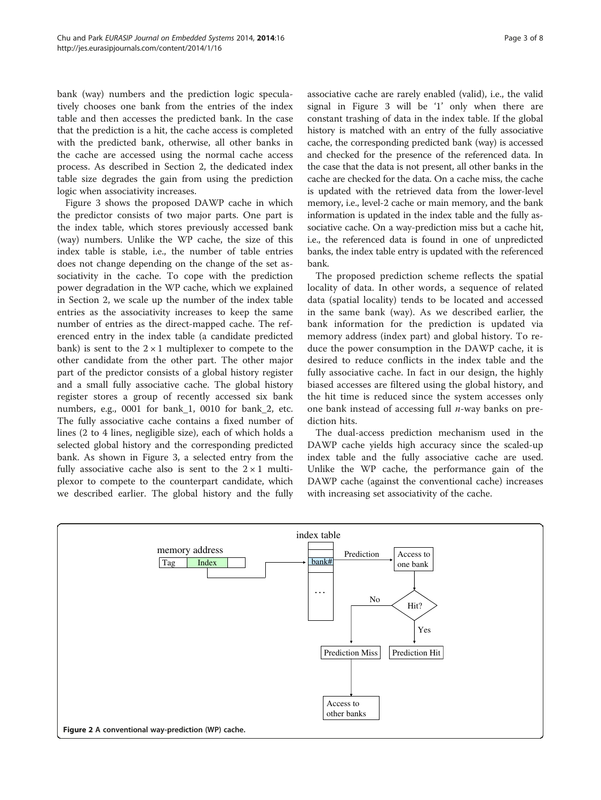<span id="page-2-0"></span>bank (way) numbers and the prediction logic speculatively chooses one bank from the entries of the index table and then accesses the predicted bank. In the case that the prediction is a hit, the cache access is completed with the predicted bank, otherwise, all other banks in the cache are accessed using the normal cache access process. As described in [Section 2](#page-0-0), the dedicated index table size degrades the gain from using the prediction logic when associativity increases.

Figure [3](#page-3-0) shows the proposed DAWP cache in which the predictor consists of two major parts. One part is the index table, which stores previously accessed bank (way) numbers. Unlike the WP cache, the size of this index table is stable, i.e., the number of table entries does not change depending on the change of the set associativity in the cache. To cope with the prediction power degradation in the WP cache, which we explained in [Section 2,](#page-0-0) we scale up the number of the index table entries as the associativity increases to keep the same number of entries as the direct-mapped cache. The referenced entry in the index table (a candidate predicted bank) is sent to the  $2 \times 1$  multiplexer to compete to the other candidate from the other part. The other major part of the predictor consists of a global history register and a small fully associative cache. The global history register stores a group of recently accessed six bank numbers, e.g., 0001 for bank\_1, 0010 for bank\_2, etc. The fully associative cache contains a fixed number of lines (2 to 4 lines, negligible size), each of which holds a selected global history and the corresponding predicted bank. As shown in Figure [3](#page-3-0), a selected entry from the fully associative cache also is sent to the  $2 \times 1$  multiplexor to compete to the counterpart candidate, which we described earlier. The global history and the fully

associative cache are rarely enabled (valid), i.e., the valid signal in Figure [3](#page-3-0) will be '1' only when there are constant trashing of data in the index table. If the global history is matched with an entry of the fully associative cache, the corresponding predicted bank (way) is accessed and checked for the presence of the referenced data. In the case that the data is not present, all other banks in the cache are checked for the data. On a cache miss, the cache is updated with the retrieved data from the lower-level memory, i.e., level-2 cache or main memory, and the bank information is updated in the index table and the fully associative cache. On a way-prediction miss but a cache hit, i.e., the referenced data is found in one of unpredicted banks, the index table entry is updated with the referenced bank.

The proposed prediction scheme reflects the spatial locality of data. In other words, a sequence of related data (spatial locality) tends to be located and accessed in the same bank (way). As we described earlier, the bank information for the prediction is updated via memory address (index part) and global history. To reduce the power consumption in the DAWP cache, it is desired to reduce conflicts in the index table and the fully associative cache. In fact in our design, the highly biased accesses are filtered using the global history, and the hit time is reduced since the system accesses only one bank instead of accessing full  $n$ -way banks on prediction hits.

The dual-access prediction mechanism used in the DAWP cache yields high accuracy since the scaled-up index table and the fully associative cache are used. Unlike the WP cache, the performance gain of the DAWP cache (against the conventional cache) increases with increasing set associativity of the cache.

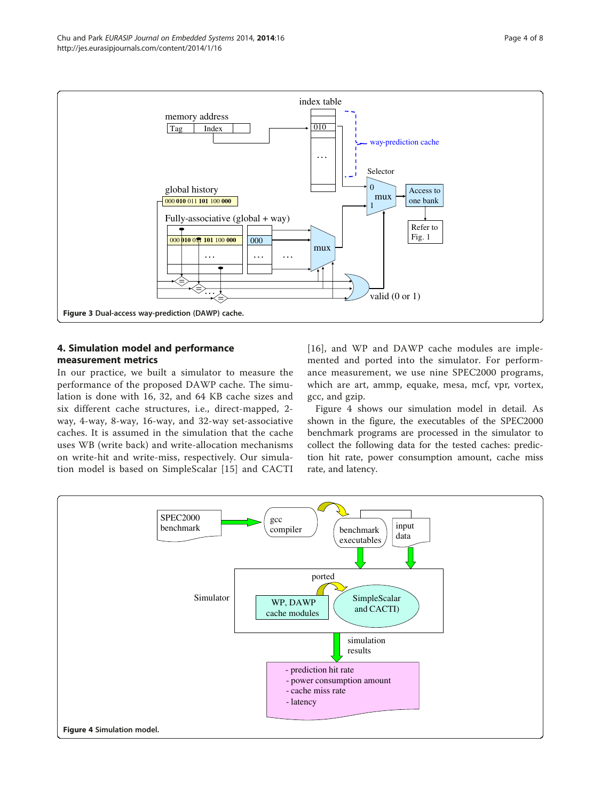<span id="page-3-0"></span>

## 4. Simulation model and performance measurement metrics

In our practice, we built a simulator to measure the performance of the proposed DAWP cache. The simulation is done with 16, 32, and 64 KB cache sizes and six different cache structures, i.e., direct-mapped, 2 way, 4-way, 8-way, 16-way, and 32-way set-associative caches. It is assumed in the simulation that the cache uses WB (write back) and write-allocation mechanisms on write-hit and write-miss, respectively. Our simulation model is based on SimpleScalar [[15\]](#page-7-0) and CACTI

[[16](#page-7-0)], and WP and DAWP cache modules are implemented and ported into the simulator. For performance measurement, we use nine SPEC2000 programs, which are art, ammp, equake, mesa, mcf, vpr, vortex, gcc, and gzip.

Figure 4 shows our simulation model in detail. As shown in the figure, the executables of the SPEC2000 benchmark programs are processed in the simulator to collect the following data for the tested caches: prediction hit rate, power consumption amount, cache miss rate, and latency.

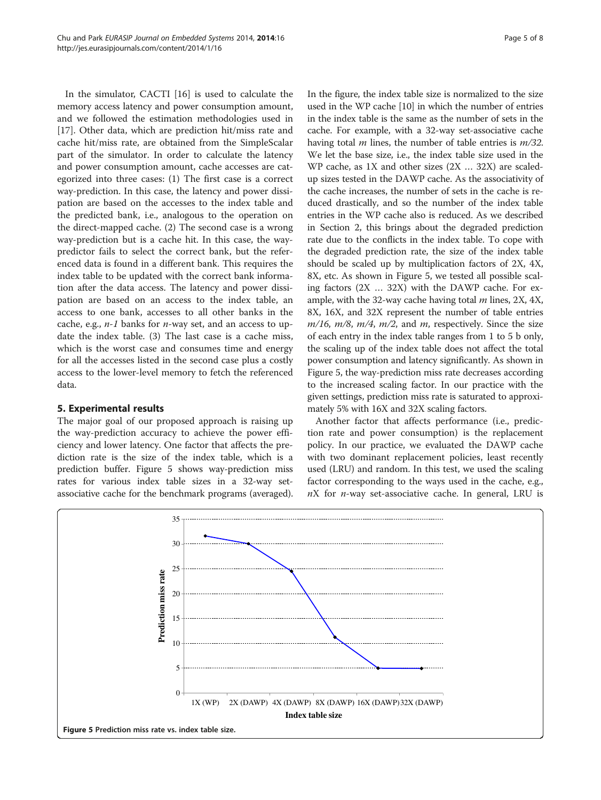<span id="page-4-0"></span>In the simulator, CACTI [[16\]](#page-7-0) is used to calculate the memory access latency and power consumption amount, and we followed the estimation methodologies used in [[17\]](#page-7-0). Other data, which are prediction hit/miss rate and cache hit/miss rate, are obtained from the SimpleScalar part of the simulator. In order to calculate the latency and power consumption amount, cache accesses are categorized into three cases: (1) The first case is a correct way-prediction. In this case, the latency and power dissipation are based on the accesses to the index table and the predicted bank, i.e., analogous to the operation on the direct-mapped cache. (2) The second case is a wrong way-prediction but is a cache hit. In this case, the waypredictor fails to select the correct bank, but the referenced data is found in a different bank. This requires the index table to be updated with the correct bank information after the data access. The latency and power dissipation are based on an access to the index table, an access to one bank, accesses to all other banks in the cache, e.g.,  $n-1$  banks for  $n$ -way set, and an access to update the index table. (3) The last case is a cache miss, which is the worst case and consumes time and energy for all the accesses listed in the second case plus a costly access to the lower-level memory to fetch the referenced data.

## 5. Experimental results

The major goal of our proposed approach is raising up the way-prediction accuracy to achieve the power efficiency and lower latency. One factor that affects the prediction rate is the size of the index table, which is a prediction buffer. Figure 5 shows way-prediction miss rates for various index table sizes in a 32-way setassociative cache for the benchmark programs (averaged). In the figure, the index table size is normalized to the size used in the WP cache [\[10\]](#page-7-0) in which the number of entries in the index table is the same as the number of sets in the cache. For example, with a 32-way set-associative cache having total  $m$  lines, the number of table entries is  $m/32$ . We let the base size, i.e., the index table size used in the WP cache, as 1X and other sizes (2X … 32X) are scaledup sizes tested in the DAWP cache. As the associativity of the cache increases, the number of sets in the cache is reduced drastically, and so the number of the index table entries in the WP cache also is reduced. As we described in [Section 2](#page-0-0), this brings about the degraded prediction rate due to the conflicts in the index table. To cope with the degraded prediction rate, the size of the index table should be scaled up by multiplication factors of 2X, 4X, 8X, etc. As shown in Figure 5, we tested all possible scaling factors (2X … 32X) with the DAWP cache. For example, with the 32-way cache having total  $m$  lines, 2X, 4X, 8X, 16X, and 32X represent the number of table entries  $m/16$ ,  $m/8$ ,  $m/4$ ,  $m/2$ , and  $m$ , respectively. Since the size of each entry in the index table ranges from 1 to 5 b only, the scaling up of the index table does not affect the total power consumption and latency significantly. As shown in Figure 5, the way-prediction miss rate decreases according to the increased scaling factor. In our practice with the given settings, prediction miss rate is saturated to approximately 5% with 16X and 32X scaling factors.

Another factor that affects performance (i.e., prediction rate and power consumption) is the replacement policy. In our practice, we evaluated the DAWP cache with two dominant replacement policies, least recently used (LRU) and random. In this test, we used the scaling factor corresponding to the ways used in the cache, e.g.,  $nX$  for *n*-way set-associative cache. In general, LRU is

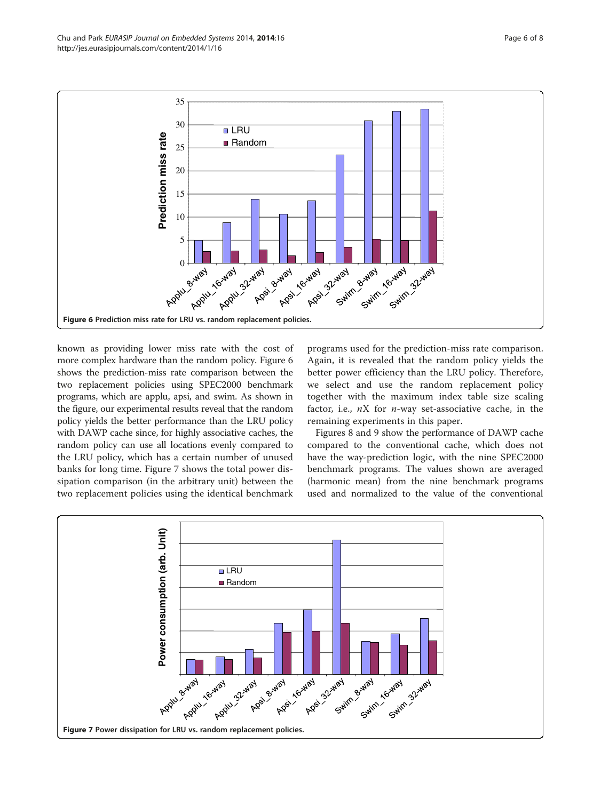known as providing lower miss rate with the cost of more complex hardware than the random policy. Figure 6 shows the prediction-miss rate comparison between the two replacement policies using SPEC2000 benchmark programs, which are applu, apsi, and swim. As shown in the figure, our experimental results reveal that the random policy yields the better performance than the LRU policy with DAWP cache since, for highly associative caches, the random policy can use all locations evenly compared to the LRU policy, which has a certain number of unused banks for long time. Figure 7 shows the total power dissipation comparison (in the arbitrary unit) between the two replacement policies using the identical benchmark

programs used for the prediction-miss rate comparison. Again, it is revealed that the random policy yields the better power efficiency than the LRU policy. Therefore, we select and use the random replacement policy together with the maximum index table size scaling factor, i.e.,  $nX$  for  $n$ -way set-associative cache, in the remaining experiments in this paper.

Figures [8](#page-6-0) and [9](#page-6-0) show the performance of DAWP cache compared to the conventional cache, which does not have the way-prediction logic, with the nine SPEC2000 benchmark programs. The values shown are averaged (harmonic mean) from the nine benchmark programs used and normalized to the value of the conventional





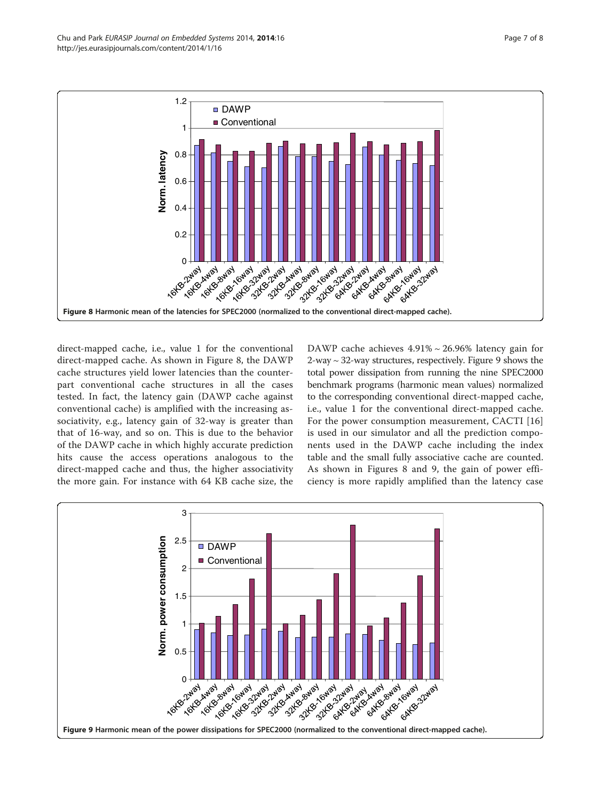<span id="page-6-0"></span>

direct-mapped cache, i.e., value 1 for the conventional direct-mapped cache. As shown in Figure 8, the DAWP cache structures yield lower latencies than the counterpart conventional cache structures in all the cases tested. In fact, the latency gain (DAWP cache against conventional cache) is amplified with the increasing associativity, e.g., latency gain of 32-way is greater than that of 16-way, and so on. This is due to the behavior of the DAWP cache in which highly accurate prediction hits cause the access operations analogous to the direct-mapped cache and thus, the higher associativity the more gain. For instance with 64 KB cache size, the

DAWP cache achieves 4.91% ~ 26.96% latency gain for  $2$ -way  $\sim$  32-way structures, respectively. Figure 9 shows the total power dissipation from running the nine SPEC2000 benchmark programs (harmonic mean values) normalized to the corresponding conventional direct-mapped cache, i.e., value 1 for the conventional direct-mapped cache. For the power consumption measurement, CACTI [\[16](#page-7-0)] is used in our simulator and all the prediction components used in the DAWP cache including the index table and the small fully associative cache are counted. As shown in Figures 8 and 9, the gain of power efficiency is more rapidly amplified than the latency case